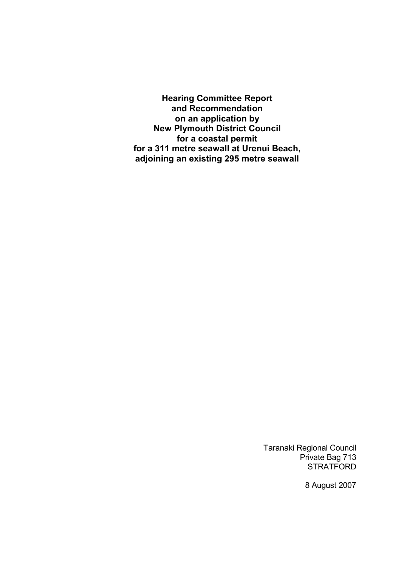**Hearing Committee Report and Recommendation on an application by New Plymouth District Council for a coastal permit for a 311 metre seawall at Urenui Beach, adjoining an existing 295 metre seawall** 

> Taranaki Regional Council Private Bag 713 STRATFORD

> > 8 August 2007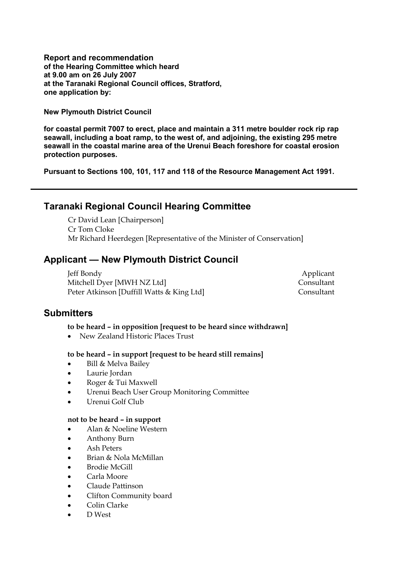**Report and recommendation of the Hearing Committee which heard at 9.00 am on 26 July 2007 at the Taranaki Regional Council offices, Stratford, one application by:** 

**New Plymouth District Council** 

**for coastal permit 7007 to erect, place and maintain a 311 metre boulder rock rip rap seawall, including a boat ramp, to the west of, and adjoining, the existing 295 metre seawall in the coastal marine area of the Urenui Beach foreshore for coastal erosion protection purposes.** 

**Pursuant to Sections 100, 101, 117 and 118 of the Resource Management Act 1991.** 

## **Taranaki Regional Council Hearing Committee**

 Cr David Lean [Chairperson] Cr Tom Cloke Mr Richard Heerdegen [Representative of the Minister of Conservation]

## **Applicant — New Plymouth District Council**

 Jeff Bondy Applicant Mitchell Dyer [MWH NZ Ltd] Consultant Peter Atkinson [Duffill Watts & King Ltd] Consultant

## **Submitters**

### **to be heard – in opposition [request to be heard since withdrawn]**

• New Zealand Historic Places Trust

### **to be heard – in support [request to be heard still remains]**

- Bill & Melva Bailey
- Laurie Jordan
- Roger & Tui Maxwell
- Urenui Beach User Group Monitoring Committee
- Urenui Golf Club

### **not to be heard – in support**

- Alan & Noeline Western
- Anthony Burn
- Ash Peters
- Brian & Nola McMillan
- Brodie McGill
- Carla Moore
- Claude Pattinson
- Clifton Community board
- Colin Clarke
- D West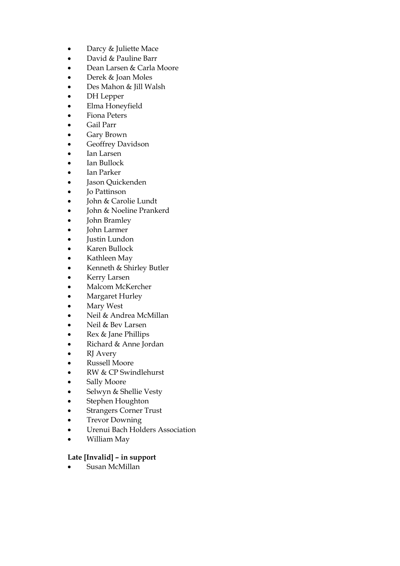- Darcy & Juliette Mace
- David & Pauline Barr
- Dean Larsen & Carla Moore
- Derek & Joan Moles
- Des Mahon & Jill Walsh
- DH Lepper
- Elma Honeyfield
- Fiona Peters
- Gail Parr
- Gary Brown
- Geoffrey Davidson
- Ian Larsen
- Ian Bullock
- Ian Parker
- Jason Quickenden
- Jo Pattinson
- John & Carolie Lundt
- John & Noeline Prankerd
- John Bramley
- John Larmer
- Justin Lundon
- Karen Bullock
- Kathleen May
- Kenneth & Shirley Butler
- Kerry Larsen
- Malcom McKercher
- Margaret Hurley
- Mary West
- Neil & Andrea McMillan
- Neil & Bev Larsen
- Rex & Jane Phillips
- Richard & Anne Jordan
- **RJ** Avery
- Russell Moore
- RW & CP Swindlehurst
- Sally Moore
- Selwyn & Shellie Vesty
- Stephen Houghton
- **Strangers Corner Trust**
- Trevor Downing
- Urenui Bach Holders Association
- William May

### **Late [Invalid] – in support**

• Susan McMillan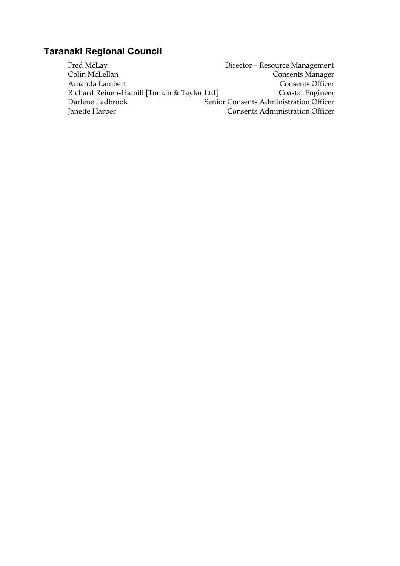# **Taranaki Regional Council**

Fred McLay **Director – Resource Management** Colin McLellan Consents Manager Amanda Lambert<br>
Richard Reinen-Hamill [Tonkin & Taylor Ltd] Consents Officer<br>
Coastal Engineer Richard Reinen-Hamill [Tonkin & Taylor Ltd]<br>Darlene Ladbrook Senic Senior Consents Administration Officer Janette Harper Consents Administration Officer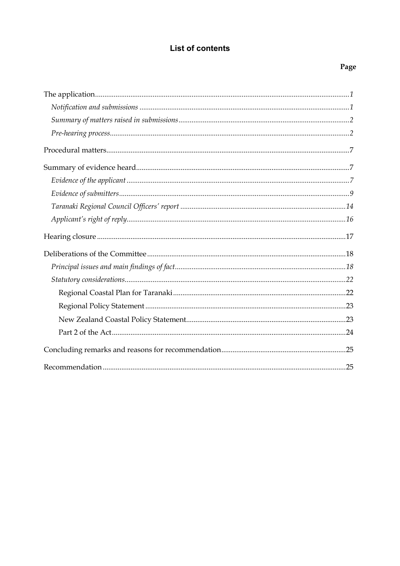## **List of contents**

## Page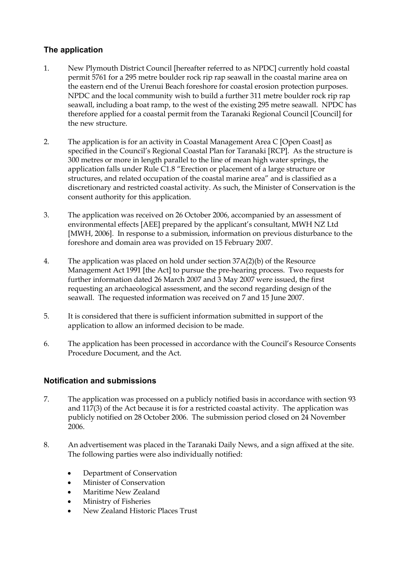### **The application**

- 1. New Plymouth District Council [hereafter referred to as NPDC] currently hold coastal permit 5761 for a 295 metre boulder rock rip rap seawall in the coastal marine area on the eastern end of the Urenui Beach foreshore for coastal erosion protection purposes. NPDC and the local community wish to build a further 311 metre boulder rock rip rap seawall, including a boat ramp, to the west of the existing 295 metre seawall. NPDC has therefore applied for a coastal permit from the Taranaki Regional Council [Council] for the new structure.
- 2. The application is for an activity in Coastal Management Area C [Open Coast] as specified in the Council's Regional Coastal Plan for Taranaki [RCP]. As the structure is 300 metres or more in length parallel to the line of mean high water springs, the application falls under Rule C1.8 "Erection or placement of a large structure or structures, and related occupation of the coastal marine area" and is classified as a discretionary and restricted coastal activity. As such, the Minister of Conservation is the consent authority for this application.
- 3. The application was received on 26 October 2006, accompanied by an assessment of environmental effects [AEE] prepared by the applicant's consultant, MWH NZ Ltd [MWH, 2006]. In response to a submission, information on previous disturbance to the foreshore and domain area was provided on 15 February 2007.
- 4. The application was placed on hold under section 37A(2)(b) of the Resource Management Act 1991 [the Act] to pursue the pre-hearing process. Two requests for further information dated 26 March 2007 and 3 May 2007 were issued, the first requesting an archaeological assessment, and the second regarding design of the seawall. The requested information was received on 7 and 15 June 2007.
- 5. It is considered that there is sufficient information submitted in support of the application to allow an informed decision to be made.
- 6. The application has been processed in accordance with the Council's Resource Consents Procedure Document, and the Act.

### **Notification and submissions**

- 7. The application was processed on a publicly notified basis in accordance with section 93 and 117(3) of the Act because it is for a restricted coastal activity. The application was publicly notified on 28 October 2006. The submission period closed on 24 November 2006.
- 8. An advertisement was placed in the Taranaki Daily News, and a sign affixed at the site. The following parties were also individually notified:
	- Department of Conservation
	- Minister of Conservation
	- Maritime New Zealand
	- Ministry of Fisheries
	- New Zealand Historic Places Trust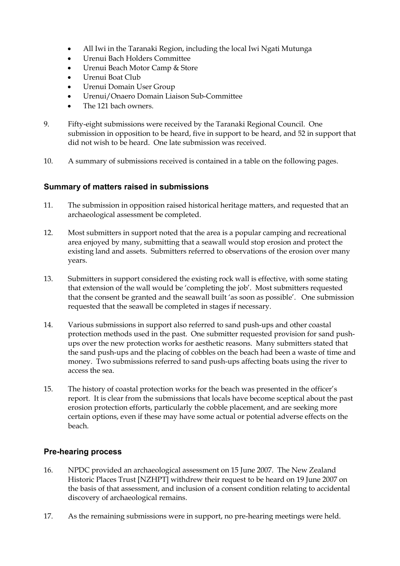- All Iwi in the Taranaki Region, including the local Iwi Ngati Mutunga
- Urenui Bach Holders Committee
- Urenui Beach Motor Camp & Store
- Urenui Boat Club
- Urenui Domain User Group
- Urenui/Onaero Domain Liaison Sub-Committee
- The 121 bach owners.
- 9. Fifty-eight submissions were received by the Taranaki Regional Council. One submission in opposition to be heard, five in support to be heard, and 52 in support that did not wish to be heard. One late submission was received.
- 10. A summary of submissions received is contained in a table on the following pages.

### **Summary of matters raised in submissions**

- 11. The submission in opposition raised historical heritage matters, and requested that an archaeological assessment be completed.
- 12. Most submitters in support noted that the area is a popular camping and recreational area enjoyed by many, submitting that a seawall would stop erosion and protect the existing land and assets. Submitters referred to observations of the erosion over many years.
- 13. Submitters in support considered the existing rock wall is effective, with some stating that extension of the wall would be 'completing the job'. Most submitters requested that the consent be granted and the seawall built 'as soon as possible'. One submission requested that the seawall be completed in stages if necessary.
- 14. Various submissions in support also referred to sand push-ups and other coastal protection methods used in the past. One submitter requested provision for sand pushups over the new protection works for aesthetic reasons. Many submitters stated that the sand push-ups and the placing of cobbles on the beach had been a waste of time and money. Two submissions referred to sand push-ups affecting boats using the river to access the sea.
- 15. The history of coastal protection works for the beach was presented in the officer's report. It is clear from the submissions that locals have become sceptical about the past erosion protection efforts, particularly the cobble placement, and are seeking more certain options, even if these may have some actual or potential adverse effects on the beach.

### **Pre-hearing process**

- 16. NPDC provided an archaeological assessment on 15 June 2007. The New Zealand Historic Places Trust [NZHPT] withdrew their request to be heard on 19 June 2007 on the basis of that assessment, and inclusion of a consent condition relating to accidental discovery of archaeological remains.
- 17. As the remaining submissions were in support, no pre-hearing meetings were held.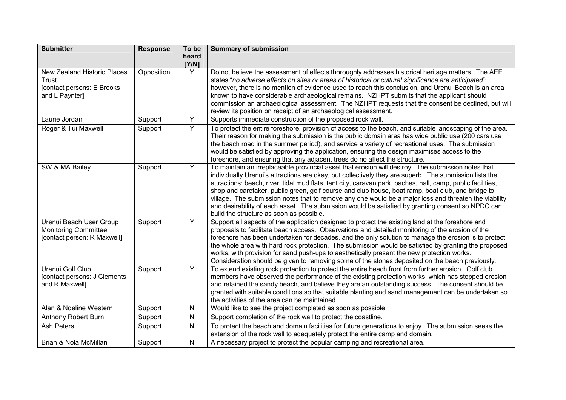| <b>Submitter</b>                                                                            | <b>Response</b> | To be          | <b>Summary of submission</b>                                                                                                                                                                                                                                                                                                                                                                                                                                                                                                                                                                                                                                                               |
|---------------------------------------------------------------------------------------------|-----------------|----------------|--------------------------------------------------------------------------------------------------------------------------------------------------------------------------------------------------------------------------------------------------------------------------------------------------------------------------------------------------------------------------------------------------------------------------------------------------------------------------------------------------------------------------------------------------------------------------------------------------------------------------------------------------------------------------------------------|
|                                                                                             |                 | heard<br>[Y/N] |                                                                                                                                                                                                                                                                                                                                                                                                                                                                                                                                                                                                                                                                                            |
| <b>New Zealand Historic Places</b><br>Trust<br>[contact persons: E Brooks<br>and L Paynter] | Opposition      | Y              | Do not believe the assessment of effects thoroughly addresses historical heritage matters. The AEE<br>states "no adverse effects on sites or areas of historical or cultural significance are anticipated";<br>however, there is no mention of evidence used to reach this conclusion, and Urenui Beach is an area<br>known to have considerable archaeological remains. NZHPT submits that the applicant should<br>commission an archaeological assessment. The NZHPT requests that the consent be declined, but will<br>review its position on receipt of an archaeological assessment.                                                                                                  |
| Laurie Jordan                                                                               | Support         | Y              | Supports immediate construction of the proposed rock wall.                                                                                                                                                                                                                                                                                                                                                                                                                                                                                                                                                                                                                                 |
| Roger & Tui Maxwell                                                                         | Support         | Y              | To protect the entire foreshore, provision of access to the beach, and suitable landscaping of the area.<br>Their reason for making the submission is the public domain area has wide public use (200 cars use<br>the beach road in the summer period), and service a variety of recreational uses. The submission<br>would be satisfied by approving the application, ensuring the design maximises access to the<br>foreshore, and ensuring that any adjacent trees do no affect the structure.                                                                                                                                                                                          |
| SW & MA Bailey                                                                              | Support         | Y              | To maintain an irreplaceable provincial asset that erosion will destroy. The submission notes that<br>individually Urenui's attractions are okay, but collectively they are superb. The submission lists the<br>attractions: beach, river, tidal mud flats, tent city, caravan park, baches, hall, camp, public facilities,<br>shop and caretaker, public green, golf course and club house, boat ramp, boat club, and bridge to<br>village. The submission notes that to remove any one would be a major loss and threaten the viability<br>and desirability of each asset. The submission would be satisfied by granting consent so NPDC can<br>build the structure as soon as possible. |
| Urenui Beach User Group<br><b>Monitoring Committee</b><br>[contact person: R Maxwell]       | Support         | Y              | Support all aspects of the application designed to protect the existing land at the foreshore and<br>proposals to facilitate beach access. Observations and detailed monitoring of the erosion of the<br>foreshore has been undertaken for decades, and the only solution to manage the erosion is to protect<br>the whole area with hard rock protection. The submission would be satisfied by granting the proposed<br>works, with provision for sand push-ups to aesthetically present the new protection works.<br>Consideration should be given to removing some of the stones deposited on the beach previously.                                                                     |
| Urenui Golf Club<br>[contact persons: J Clements<br>and R Maxwell]                          | Support         | Y              | To extend existing rock protection to protect the entire beach front from further erosion. Golf club<br>members have observed the performance of the existing protection works, which has stopped erosion<br>and retained the sandy beach, and believe they are an outstanding success. The consent should be<br>granted with suitable conditions so that suitable planting and sand management can be undertaken so<br>the activities of the area can be maintained.                                                                                                                                                                                                                      |
| Alan & Noeline Western                                                                      | Support         | N              | Would like to see the project completed as soon as possible                                                                                                                                                                                                                                                                                                                                                                                                                                                                                                                                                                                                                                |
| Anthony Robert Burn                                                                         | Support         | N              | Support completion of the rock wall to protect the coastline.                                                                                                                                                                                                                                                                                                                                                                                                                                                                                                                                                                                                                              |
| <b>Ash Peters</b>                                                                           | Support         | N              | To protect the beach and domain facilities for future generations to enjoy. The submission seeks the<br>extension of the rock wall to adequately protect the entire camp and domain.                                                                                                                                                                                                                                                                                                                                                                                                                                                                                                       |
| Brian & Nola McMillan                                                                       | Support         | N              | A necessary project to protect the popular camping and recreational area.                                                                                                                                                                                                                                                                                                                                                                                                                                                                                                                                                                                                                  |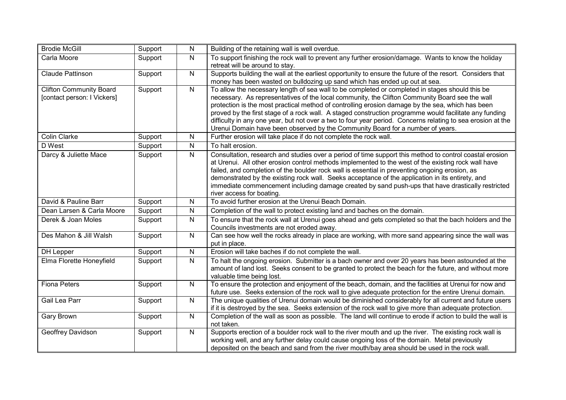| <b>Brodie McGill</b>                                          | Support | ${\sf N}$      | Building of the retaining wall is well overdue.                                                                                                                                                                                                                                                                                                                                                                                                                                                                                                                                                                  |
|---------------------------------------------------------------|---------|----------------|------------------------------------------------------------------------------------------------------------------------------------------------------------------------------------------------------------------------------------------------------------------------------------------------------------------------------------------------------------------------------------------------------------------------------------------------------------------------------------------------------------------------------------------------------------------------------------------------------------------|
| Carla Moore                                                   | Support | $\mathsf{N}$   | To support finishing the rock wall to prevent any further erosion/damage. Wants to know the holiday<br>retreat will be around to stay.                                                                                                                                                                                                                                                                                                                                                                                                                                                                           |
| Claude Pattinson                                              | Support | $\mathsf{N}$   | Supports building the wall at the earliest opportunity to ensure the future of the resort. Considers that<br>money has been wasted on bulldozing up sand which has ended up out at sea.                                                                                                                                                                                                                                                                                                                                                                                                                          |
| <b>Clifton Community Board</b><br>[contact person: I Vickers] | Support | $\overline{N}$ | To allow the necessary length of sea wall to be completed or completed in stages should this be<br>necessary. As representatives of the local community, the Clifton Community Board see the wall<br>protection is the most practical method of controlling erosion damage by the sea, which has been<br>proved by the first stage of a rock wall. A staged construction programme would facilitate any funding<br>difficulty in any one year, but not over a two to four year period. Concerns relating to sea erosion at the<br>Urenui Domain have been observed by the Community Board for a number of years. |
| <b>Colin Clarke</b>                                           | Support | $\mathsf{N}$   | Further erosion will take place if do not complete the rock wall.                                                                                                                                                                                                                                                                                                                                                                                                                                                                                                                                                |
| D West                                                        | Support | $\mathsf{N}$   | To halt erosion.                                                                                                                                                                                                                                                                                                                                                                                                                                                                                                                                                                                                 |
| Darcy & Juliette Mace                                         | Support | $\overline{N}$ | Consultation, research and studies over a period of time support this method to control coastal erosion<br>at Urenui. All other erosion control methods implemented to the west of the existing rock wall have<br>failed, and completion of the boulder rock wall is essential in preventing ongoing erosion, as<br>demonstrated by the existing rock wall. Seeks acceptance of the application in its entirety, and<br>immediate commencement including damage created by sand push-ups that have drastically restricted<br>river access for boating.                                                           |
| David & Pauline Barr                                          | Support | $\overline{N}$ | To avoid further erosion at the Urenui Beach Domain.                                                                                                                                                                                                                                                                                                                                                                                                                                                                                                                                                             |
| Dean Larsen & Carla Moore                                     | Support | $\mathsf{N}$   | Completion of the wall to protect existing land and baches on the domain.                                                                                                                                                                                                                                                                                                                                                                                                                                                                                                                                        |
| Derek & Joan Moles                                            | Support | $\mathsf{N}$   | To ensure that the rock wall at Urenui goes ahead and gets completed so that the bach holders and the<br>Councils investments are not eroded away.                                                                                                                                                                                                                                                                                                                                                                                                                                                               |
| Des Mahon & Jill Walsh                                        | Support | $\overline{N}$ | Can see how well the rocks already in place are working, with more sand appearing since the wall was<br>put in place.                                                                                                                                                                                                                                                                                                                                                                                                                                                                                            |
| DH Lepper                                                     | Support | $\mathsf{N}$   | Erosion will take baches if do not complete the wall.                                                                                                                                                                                                                                                                                                                                                                                                                                                                                                                                                            |
| Elma Florette Honeyfield                                      | Support | $\mathsf{N}$   | To halt the ongoing erosion. Submitter is a bach owner and over 20 years has been astounded at the<br>amount of land lost. Seeks consent to be granted to protect the beach for the future, and without more<br>valuable time being lost.                                                                                                                                                                                                                                                                                                                                                                        |
| <b>Fiona Peters</b>                                           | Support | N              | To ensure the protection and enjoyment of the beach, domain, and the facilities at Urenui for now and<br>future use. Seeks extension of the rock wall to give adequate protection for the entire Urenui domain.                                                                                                                                                                                                                                                                                                                                                                                                  |
| Gail Lea Parr                                                 | Support | $\mathsf{N}$   | The unique qualities of Urenui domain would be diminished considerably for all current and future users<br>if it is destroyed by the sea. Seeks extension of the rock wall to give more than adequate protection.                                                                                                                                                                                                                                                                                                                                                                                                |
| Gary Brown                                                    | Support | $\mathsf{N}$   | Completion of the wall as soon as possible. The land will continue to erode if action to build the wall is<br>not taken.                                                                                                                                                                                                                                                                                                                                                                                                                                                                                         |
| Geoffrey Davidson                                             | Support | $\mathsf{N}$   | Supports erection of a boulder rock wall to the river mouth and up the river. The existing rock wall is<br>working well, and any further delay could cause ongoing loss of the domain. Metal previously<br>deposited on the beach and sand from the river mouth/bay area should be used in the rock wall.                                                                                                                                                                                                                                                                                                        |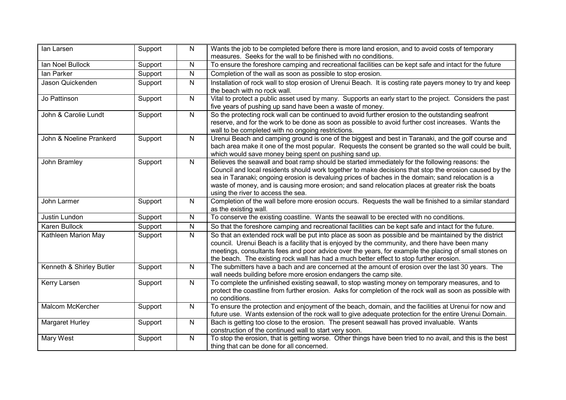| lan Larsen               | Support | N              | Wants the job to be completed before there is more land erosion, and to avoid costs of temporary<br>measures. Seeks for the wall to be finished with no conditions.                                                                                                                                                                                                                                                                                        |
|--------------------------|---------|----------------|------------------------------------------------------------------------------------------------------------------------------------------------------------------------------------------------------------------------------------------------------------------------------------------------------------------------------------------------------------------------------------------------------------------------------------------------------------|
| Ian Noel Bullock         | Support | N              | To ensure the foreshore camping and recreational facilities can be kept safe and intact for the future                                                                                                                                                                                                                                                                                                                                                     |
| Ian Parker               | Support | N              | Completion of the wall as soon as possible to stop erosion.                                                                                                                                                                                                                                                                                                                                                                                                |
| Jason Quickenden         | Support | N              | Installation of rock wall to stop erosion of Urenui Beach. It is costing rate payers money to try and keep<br>the beach with no rock wall.                                                                                                                                                                                                                                                                                                                 |
| Jo Pattinson             | Support | $\mathsf{N}$   | Vital to protect a public asset used by many. Supports an early start to the project. Considers the past<br>five years of pushing up sand have been a waste of money.                                                                                                                                                                                                                                                                                      |
| John & Carolie Lundt     | Support | $\overline{N}$ | So the protecting rock wall can be continued to avoid further erosion to the outstanding seafront<br>reserve, and for the work to be done as soon as possible to avoid further cost increases. Wants the<br>wall to be completed with no ongoing restrictions.                                                                                                                                                                                             |
| John & Noeline Prankerd  | Support | $\mathsf{N}$   | Urenui Beach and camping ground is one of the biggest and best in Taranaki, and the golf course and<br>bach area make it one of the most popular. Requests the consent be granted so the wall could be built,<br>which would save money being spent on pushing sand up.                                                                                                                                                                                    |
| John Bramley             | Support | $\mathsf{N}$   | Believes the seawall and boat ramp should be started immediately for the following reasons: the<br>Council and local residents should work together to make decisions that stop the erosion caused by the<br>sea in Taranaki; ongoing erosion is devaluing prices of baches in the domain; sand relocation is a<br>waste of money, and is causing more erosion; and sand relocation places at greater risk the boats<br>using the river to access the sea. |
| John Larmer              | Support | $\mathsf{N}$   | Completion of the wall before more erosion occurs. Requests the wall be finished to a similar standard<br>as the existing wall.                                                                                                                                                                                                                                                                                                                            |
| Justin Lundon            | Support | N              | To conserve the existing coastline. Wants the seawall to be erected with no conditions.                                                                                                                                                                                                                                                                                                                                                                    |
| <b>Karen Bullock</b>     | Support | N              | So that the foreshore camping and recreational facilities can be kept safe and intact for the future.                                                                                                                                                                                                                                                                                                                                                      |
| Kathleen Marion May      | Support | N              | So that an extended rock wall be put into place as soon as possible and be maintained by the district<br>council. Urenui Beach is a facility that is enjoyed by the community, and there have been many<br>meetings, consultants fees and poor advice over the years, for example the placing of small stones on<br>the beach. The existing rock wall has had a much better effect to stop further erosion.                                                |
| Kenneth & Shirley Butler | Support | $\mathsf{N}$   | The submitters have a bach and are concerned at the amount of erosion over the last 30 years. The<br>wall needs building before more erosion endangers the camp site.                                                                                                                                                                                                                                                                                      |
| Kerry Larsen             | Support | $\mathsf{N}$   | To complete the unfinished existing seawall, to stop wasting money on temporary measures, and to<br>protect the coastline from further erosion. Asks for completion of the rock wall as soon as possible with<br>no conditions.                                                                                                                                                                                                                            |
| Malcom McKercher         | Support | $\mathsf{N}$   | To ensure the protection and enjoyment of the beach, domain, and the facilities at Urenui for now and<br>future use. Wants extension of the rock wall to give adequate protection for the entire Urenui Domain.                                                                                                                                                                                                                                            |
| Margaret Hurley          | Support | ${\sf N}$      | Bach is getting too close to the erosion. The present seawall has proved invaluable. Wants<br>construction of the continued wall to start very soon.                                                                                                                                                                                                                                                                                                       |
| Mary West                | Support | $\mathsf{N}$   | To stop the erosion, that is getting worse. Other things have been tried to no avail, and this is the best<br>thing that can be done for all concerned.                                                                                                                                                                                                                                                                                                    |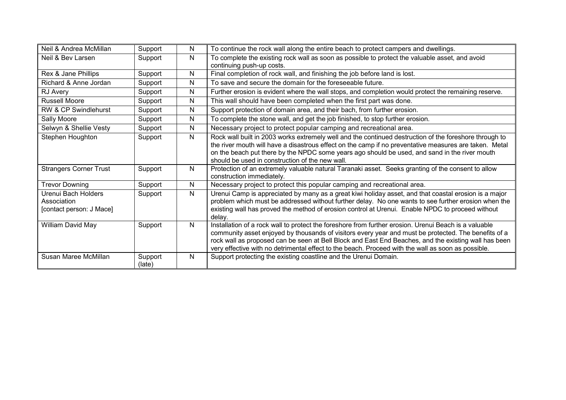| Neil & Andrea McMillan                                         | Support           | N | To continue the rock wall along the entire beach to protect campers and dwellings.                                                                                                                                                                                                                                                                                                                                          |
|----------------------------------------------------------------|-------------------|---|-----------------------------------------------------------------------------------------------------------------------------------------------------------------------------------------------------------------------------------------------------------------------------------------------------------------------------------------------------------------------------------------------------------------------------|
| Neil & Bev Larsen                                              | Support           | N | To complete the existing rock wall as soon as possible to protect the valuable asset, and avoid<br>continuing push-up costs.                                                                                                                                                                                                                                                                                                |
| Rex & Jane Phillips                                            | Support           | N | Final completion of rock wall, and finishing the job before land is lost.                                                                                                                                                                                                                                                                                                                                                   |
| Richard & Anne Jordan                                          | Support           | N | To save and secure the domain for the foreseeable future.                                                                                                                                                                                                                                                                                                                                                                   |
| <b>RJ Avery</b>                                                | Support           | N | Further erosion is evident where the wall stops, and completion would protect the remaining reserve.                                                                                                                                                                                                                                                                                                                        |
| <b>Russell Moore</b>                                           | Support           | N | This wall should have been completed when the first part was done.                                                                                                                                                                                                                                                                                                                                                          |
| <b>RW &amp; CP Swindlehurst</b>                                | Support           | N | Support protection of domain area, and their bach, from further erosion.                                                                                                                                                                                                                                                                                                                                                    |
| Sally Moore                                                    | Support           | N | To complete the stone wall, and get the job finished, to stop further erosion.                                                                                                                                                                                                                                                                                                                                              |
| Selwyn & Shellie Vesty                                         | Support           | N | Necessary project to protect popular camping and recreational area.                                                                                                                                                                                                                                                                                                                                                         |
| Stephen Houghton                                               | Support           | N | Rock wall built in 2003 works extremely well and the continued destruction of the foreshore through to<br>the river mouth will have a disastrous effect on the camp if no preventative measures are taken. Metal<br>on the beach put there by the NPDC some years ago should be used, and sand in the river mouth<br>should be used in construction of the new wall.                                                        |
| <b>Strangers Corner Trust</b>                                  | Support           | N | Protection of an extremely valuable natural Taranaki asset. Seeks granting of the consent to allow<br>construction immediately.                                                                                                                                                                                                                                                                                             |
| <b>Trevor Downing</b>                                          | Support           | N | Necessary project to protect this popular camping and recreational area.                                                                                                                                                                                                                                                                                                                                                    |
| Urenui Bach Holders<br>Association<br>[contact person: J Mace] | Support           | N | Urenui Camp is appreciated by many as a great kiwi holiday asset, and that coastal erosion is a major<br>problem which must be addressed without further delay. No one wants to see further erosion when the<br>existing wall has proved the method of erosion control at Urenui. Enable NPDC to proceed without<br>delay.                                                                                                  |
| William David May                                              | Support           | N | Installation of a rock wall to protect the foreshore from further erosion. Urenui Beach is a valuable<br>community asset enjoyed by thousands of visitors every year and must be protected. The benefits of a<br>rock wall as proposed can be seen at Bell Block and East End Beaches, and the existing wall has been<br>very effective with no detrimental effect to the beach. Proceed with the wall as soon as possible. |
| Susan Maree McMillan                                           | Support<br>(late) | N | Support protecting the existing coastline and the Urenui Domain.                                                                                                                                                                                                                                                                                                                                                            |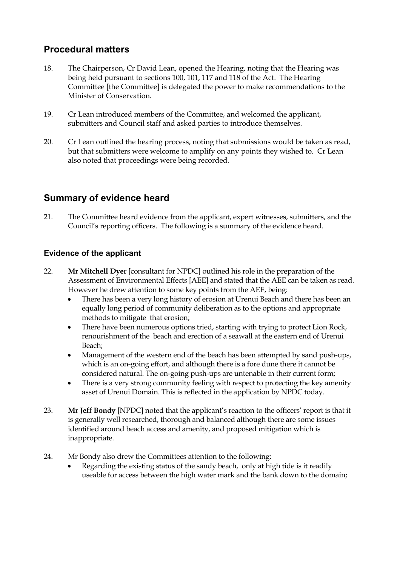## **Procedural matters**

- 18. The Chairperson, Cr David Lean, opened the Hearing, noting that the Hearing was being held pursuant to sections 100, 101, 117 and 118 of the Act. The Hearing Committee [the Committee] is delegated the power to make recommendations to the Minister of Conservation.
- 19. Cr Lean introduced members of the Committee, and welcomed the applicant, submitters and Council staff and asked parties to introduce themselves.
- 20. Cr Lean outlined the hearing process, noting that submissions would be taken as read, but that submitters were welcome to amplify on any points they wished to. Cr Lean also noted that proceedings were being recorded.

## **Summary of evidence heard**

21. The Committee heard evidence from the applicant, expert witnesses, submitters, and the Council's reporting officers. The following is a summary of the evidence heard.

### **Evidence of the applicant**

- 22. **Mr Mitchell Dyer** [consultant for NPDC] outlined his role in the preparation of the Assessment of Environmental Effects [AEE] and stated that the AEE can be taken as read. However he drew attention to some key points from the AEE, being:
	- There has been a very long history of erosion at Urenui Beach and there has been an equally long period of community deliberation as to the options and appropriate methods to mitigate that erosion;
	- There have been numerous options tried, starting with trying to protect Lion Rock, renourishment of the beach and erection of a seawall at the eastern end of Urenui Beach;
	- Management of the western end of the beach has been attempted by sand push-ups, which is an on-going effort, and although there is a fore dune there it cannot be considered natural. The on-going push-ups are untenable in their current form;
	- There is a very strong community feeling with respect to protecting the key amenity asset of Urenui Domain. This is reflected in the application by NPDC today.
- 23. **Mr Jeff Bondy** [NPDC] noted that the applicant's reaction to the officers' report is that it is generally well researched, thorough and balanced although there are some issues identified around beach access and amenity, and proposed mitigation which is inappropriate.
- 24. Mr Bondy also drew the Committees attention to the following:
	- Regarding the existing status of the sandy beach, only at high tide is it readily useable for access between the high water mark and the bank down to the domain;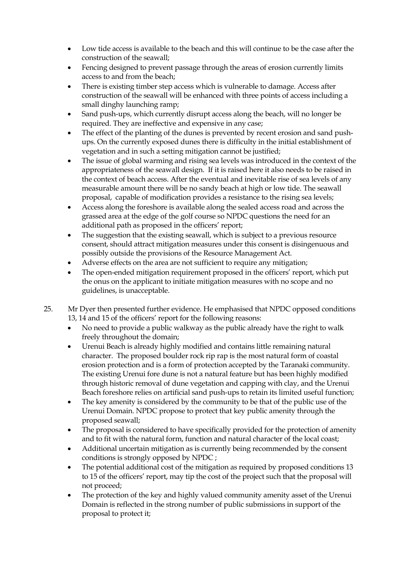- Low tide access is available to the beach and this will continue to be the case after the construction of the seawall;
- Fencing designed to prevent passage through the areas of erosion currently limits access to and from the beach;
- There is existing timber step access which is vulnerable to damage. Access after construction of the seawall will be enhanced with three points of access including a small dinghy launching ramp;
- Sand push-ups, which currently disrupt access along the beach, will no longer be required. They are ineffective and expensive in any case;
- The effect of the planting of the dunes is prevented by recent erosion and sand pushups. On the currently exposed dunes there is difficulty in the initial establishment of vegetation and in such a setting mitigation cannot be justified;
- The issue of global warming and rising sea levels was introduced in the context of the appropriateness of the seawall design. If it is raised here it also needs to be raised in the context of beach access. After the eventual and inevitable rise of sea levels of any measurable amount there will be no sandy beach at high or low tide. The seawall proposal, capable of modification provides a resistance to the rising sea levels;
- Access along the foreshore is available along the sealed access road and across the grassed area at the edge of the golf course so NPDC questions the need for an additional path as proposed in the officers' report;
- The suggestion that the existing seawall, which is subject to a previous resource consent, should attract mitigation measures under this consent is disingenuous and possibly outside the provisions of the Resource Management Act.
- Adverse effects on the area are not sufficient to require any mitigation;
- The open-ended mitigation requirement proposed in the officers' report, which put the onus on the applicant to initiate mitigation measures with no scope and no guidelines, is unacceptable.
- 25. Mr Dyer then presented further evidence. He emphasised that NPDC opposed conditions 13, 14 and 15 of the officers' report for the following reasons:
	- No need to provide a public walkway as the public already have the right to walk freely throughout the domain;
	- Urenui Beach is already highly modified and contains little remaining natural character. The proposed boulder rock rip rap is the most natural form of coastal erosion protection and is a form of protection accepted by the Taranaki community. The existing Urenui fore dune is not a natural feature but has been highly modified through historic removal of dune vegetation and capping with clay, and the Urenui Beach foreshore relies on artificial sand push-ups to retain its limited useful function;
	- The key amenity is considered by the community to be that of the public use of the Urenui Domain. NPDC propose to protect that key public amenity through the proposed seawall;
	- The proposal is considered to have specifically provided for the protection of amenity and to fit with the natural form, function and natural character of the local coast;
	- Additional uncertain mitigation as is currently being recommended by the consent conditions is strongly opposed by NPDC ;
	- The potential additional cost of the mitigation as required by proposed conditions 13 to 15 of the officers' report, may tip the cost of the project such that the proposal will not proceed;
	- The protection of the key and highly valued community amenity asset of the Urenui Domain is reflected in the strong number of public submissions in support of the proposal to protect it;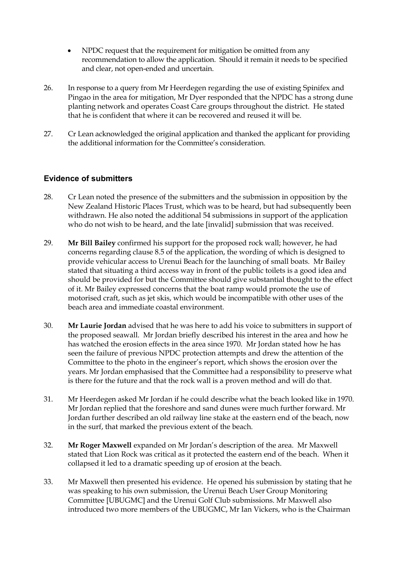- NPDC request that the requirement for mitigation be omitted from any recommendation to allow the application. Should it remain it needs to be specified and clear, not open-ended and uncertain.
- 26. In response to a query from Mr Heerdegen regarding the use of existing Spinifex and Pingao in the area for mitigation, Mr Dyer responded that the NPDC has a strong dune planting network and operates Coast Care groups throughout the district. He stated that he is confident that where it can be recovered and reused it will be.
- 27. Cr Lean acknowledged the original application and thanked the applicant for providing the additional information for the Committee's consideration.

### **Evidence of submitters**

- 28. Cr Lean noted the presence of the submitters and the submission in opposition by the New Zealand Historic Places Trust, which was to be heard, but had subsequently been withdrawn. He also noted the additional 54 submissions in support of the application who do not wish to be heard, and the late [invalid] submission that was received.
- 29. **Mr Bill Bailey** confirmed his support for the proposed rock wall; however, he had concerns regarding clause 8.5 of the application, the wording of which is designed to provide vehicular access to Urenui Beach for the launching of small boats. Mr Bailey stated that situating a third access way in front of the public toilets is a good idea and should be provided for but the Committee should give substantial thought to the effect of it. Mr Bailey expressed concerns that the boat ramp would promote the use of motorised craft, such as jet skis, which would be incompatible with other uses of the beach area and immediate coastal environment.
- 30. **Mr Laurie Jordan** advised that he was here to add his voice to submitters in support of the proposed seawall. Mr Jordan briefly described his interest in the area and how he has watched the erosion effects in the area since 1970. Mr Jordan stated how he has seen the failure of previous NPDC protection attempts and drew the attention of the Committee to the photo in the engineer's report, which shows the erosion over the years. Mr Jordan emphasised that the Committee had a responsibility to preserve what is there for the future and that the rock wall is a proven method and will do that.
- 31. Mr Heerdegen asked Mr Jordan if he could describe what the beach looked like in 1970. Mr Jordan replied that the foreshore and sand dunes were much further forward. Mr Jordan further described an old railway line stake at the eastern end of the beach, now in the surf, that marked the previous extent of the beach.
- 32. **Mr Roger Maxwell** expanded on Mr Jordan's description of the area. Mr Maxwell stated that Lion Rock was critical as it protected the eastern end of the beach. When it collapsed it led to a dramatic speeding up of erosion at the beach.
- 33. Mr Maxwell then presented his evidence. He opened his submission by stating that he was speaking to his own submission, the Urenui Beach User Group Monitoring Committee [UBUGMC] and the Urenui Golf Club submissions. Mr Maxwell also introduced two more members of the UBUGMC, Mr Ian Vickers, who is the Chairman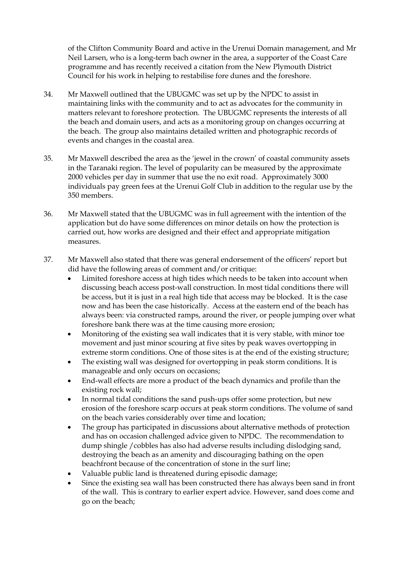of the Clifton Community Board and active in the Urenui Domain management, and Mr Neil Larsen, who is a long-term bach owner in the area, a supporter of the Coast Care programme and has recently received a citation from the New Plymouth District Council for his work in helping to restabilise fore dunes and the foreshore.

- 34. Mr Maxwell outlined that the UBUGMC was set up by the NPDC to assist in maintaining links with the community and to act as advocates for the community in matters relevant to foreshore protection. The UBUGMC represents the interests of all the beach and domain users, and acts as a monitoring group on changes occurring at the beach. The group also maintains detailed written and photographic records of events and changes in the coastal area.
- 35. Mr Maxwell described the area as the 'jewel in the crown' of coastal community assets in the Taranaki region. The level of popularity can be measured by the approximate 2000 vehicles per day in summer that use the no exit road. Approximately 3000 individuals pay green fees at the Urenui Golf Club in addition to the regular use by the 350 members.
- 36. Mr Maxwell stated that the UBUGMC was in full agreement with the intention of the application but do have some differences on minor details on how the protection is carried out, how works are designed and their effect and appropriate mitigation measures.
- 37. Mr Maxwell also stated that there was general endorsement of the officers' report but did have the following areas of comment and/or critique:
	- Limited foreshore access at high tides which needs to be taken into account when discussing beach access post-wall construction. In most tidal conditions there will be access, but it is just in a real high tide that access may be blocked. It is the case now and has been the case historically. Access at the eastern end of the beach has always been: via constructed ramps, around the river, or people jumping over what foreshore bank there was at the time causing more erosion;
	- Monitoring of the existing sea wall indicates that it is very stable, with minor toe movement and just minor scouring at five sites by peak waves overtopping in extreme storm conditions. One of those sites is at the end of the existing structure;
	- The existing wall was designed for overtopping in peak storm conditions. It is manageable and only occurs on occasions;
	- End-wall effects are more a product of the beach dynamics and profile than the existing rock wall;
	- In normal tidal conditions the sand push-ups offer some protection, but new erosion of the foreshore scarp occurs at peak storm conditions. The volume of sand on the beach varies considerably over time and location;
	- The group has participated in discussions about alternative methods of protection and has on occasion challenged advice given to NPDC. The recommendation to dump shingle /cobbles has also had adverse results including dislodging sand, destroying the beach as an amenity and discouraging bathing on the open beachfront because of the concentration of stone in the surf line;
	- Valuable public land is threatened during episodic damage;
	- Since the existing sea wall has been constructed there has always been sand in front of the wall. This is contrary to earlier expert advice. However, sand does come and go on the beach;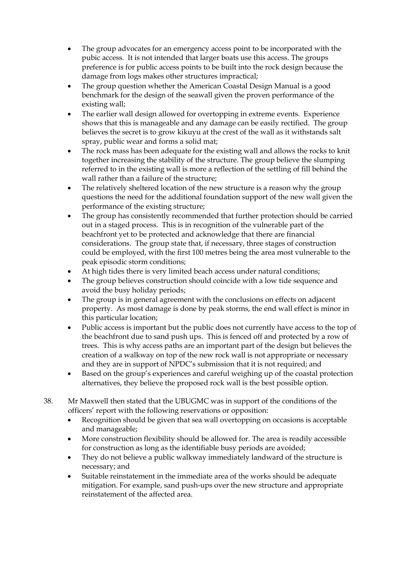- The group advocates for an emergency access point to be incorporated with the pubic access. It is not intended that larger boats use this access. The groups preference is for public access points to be built into the rock design because the damage from logs makes other structures impractical;
- The group question whether the American Coastal Design Manual is a good benchmark for the design of the seawall given the proven performance of the existing wall;
- The earlier wall design allowed for overtopping in extreme events. Experience shows that this is manageable and any damage can be easily rectified. The group believes the secret is to grow kikuyu at the crest of the wall as it withstands salt spray, public wear and forms a solid mat;
- The rock mass has been adequate for the existing wall and allows the rocks to knit together increasing the stability of the structure. The group believe the slumping referred to in the existing wall is more a reflection of the settling of fill behind the wall rather than a failure of the structure;
- The relatively sheltered location of the new structure is a reason why the group questions the need for the additional foundation support of the new wall given the performance of the existing structure;
- The group has consistently recommended that further protection should be carried out in a staged process. This is in recognition of the vulnerable part of the beachfront yet to be protected and acknowledge that there are financial considerations. The group state that, if necessary, three stages of construction could be employed, with the first 100 metres being the area most vulnerable to the peak episodic storm conditions;
- At high tides there is very limited beach access under natural conditions;
- The group believes construction should coincide with a low tide sequence and avoid the busy holiday periods;
- The group is in general agreement with the conclusions on effects on adjacent property. As most damage is done by peak storms, the end wall effect is minor in this particular location;
- Public access is important but the public does not currently have access to the top of the beachfront due to sand push ups. This is fenced off and protected by a row of trees. This is why access paths are an important part of the design but believes the creation of a walkway on top of the new rock wall is not appropriate or necessary and they are in support of NPDC's submission that it is not required; and
- Based on the group's experiences and careful weighing up of the coastal protection alternatives, they believe the proposed rock wall is the best possible option.
- 38. Mr Maxwell then stated that the UBUGMC was in support of the conditions of the officers' report with the following reservations or opposition:
	- Recognition should be given that sea wall overtopping on occasions is acceptable and manageable;
	- More construction flexibility should be allowed for. The area is readily accessible for construction as long as the identifiable busy periods are avoided;
	- They do not believe a public walkway immediately landward of the structure is necessary; and
	- Suitable reinstatement in the immediate area of the works should be adequate mitigation. For example, sand push-ups over the new structure and appropriate reinstatement of the affected area.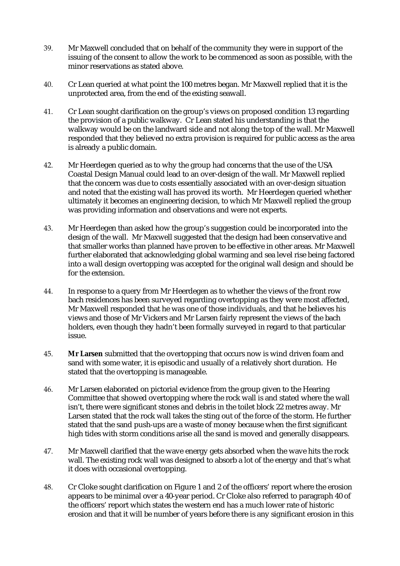- 39. Mr Maxwell concluded that on behalf of the community they were in support of the issuing of the consent to allow the work to be commenced as soon as possible, with the minor reservations as stated above.
- 40. Cr Lean queried at what point the 100 metres began. Mr Maxwell replied that it is the unprotected area, from the end of the existing seawall.
- 41. Cr Lean sought clarification on the group's views on proposed condition 13 regarding the provision of a public walkway. Cr Lean stated his understanding is that the walkway would be on the landward side and not along the top of the wall. Mr Maxwell responded that they believed no extra provision is required for public access as the area is already a public domain.
- 42. Mr Heerdegen queried as to why the group had concerns that the use of the USA Coastal Design Manual could lead to an over-design of the wall. Mr Maxwell replied that the concern was due to costs essentially associated with an over-design situation and noted that the existing wall has proved its worth. Mr Heerdegen queried whether ultimately it becomes an engineering decision, to which Mr Maxwell replied the group was providing information and observations and were not experts.
- 43. Mr Heerdegen than asked how the group's suggestion could be incorporated into the design of the wall. Mr Maxwell suggested that the design had been conservative and that smaller works than planned have proven to be effective in other areas. Mr Maxwell further elaborated that acknowledging global warming and sea level rise being factored into a wall design overtopping was accepted for the original wall design and should be for the extension.
- 44. In response to a query from Mr Heerdegen as to whether the views of the front row bach residences has been surveyed regarding overtopping as they were most affected, Mr Maxwell responded that he was one of those individuals, and that he believes his views and those of Mr Vickers and Mr Larsen fairly represent the views of the bach holders, even though they hadn't been formally surveyed in regard to that particular issue.
- 45. **Mr Larsen** submitted that the overtopping that occurs now is wind driven foam and sand with some water, it is episodic and usually of a relatively short duration. He stated that the overtopping is manageable.
- 46. Mr Larsen elaborated on pictorial evidence from the group given to the Hearing Committee that showed overtopping where the rock wall is and stated where the wall isn't, there were significant stones and debris in the toilet block 22 metres away. Mr Larsen stated that the rock wall takes the sting out of the force of the storm. He further stated that the sand push-ups are a waste of money because when the first significant high tides with storm conditions arise all the sand is moved and generally disappears.
- 47. Mr Maxwell clarified that the wave energy gets absorbed when the wave hits the rock wall. The existing rock wall was designed to absorb a lot of the energy and that's what it does with occasional overtopping.
- 48. Cr Cloke sought clarification on Figure 1 and 2 of the officers' report where the erosion appears to be minimal over a 40-year period. Cr Cloke also referred to paragraph 40 of the officers' report which states the western end has a much lower rate of historic erosion and that it will be number of years before there is any significant erosion in this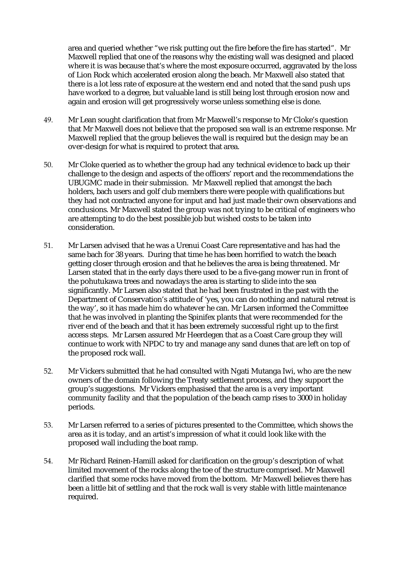area and queried whether "we risk putting out the fire before the fire has started". Mr Maxwell replied that one of the reasons why the existing wall was designed and placed where it is was because that's where the most exposure occurred, aggravated by the loss of Lion Rock which accelerated erosion along the beach. Mr Maxwell also stated that there is a lot less rate of exposure at the western end and noted that the sand push ups have worked to a degree, but valuable land is still being lost through erosion now and again and erosion will get progressively worse unless something else is done.

- 49. Mr Lean sought clarification that from Mr Maxwell's response to Mr Cloke's question that Mr Maxwell does not believe that the proposed sea wall is an extreme response. Mr Maxwell replied that the group believes the wall is required but the design may be an over-design for what is required to protect that area.
- 50. Mr Cloke queried as to whether the group had any technical evidence to back up their challenge to the design and aspects of the officers' report and the recommendations the UBUGMC made in their submission. Mr Maxwell replied that amongst the bach holders, bach users and golf club members there were people with qualifications but they had not contracted anyone for input and had just made their own observations and conclusions. Mr Maxwell stated the group was not trying to be critical of engineers who are attempting to do the best possible job but wished costs to be taken into consideration.
- 51. Mr Larsen advised that he was a Urenui Coast Care representative and has had the same bach for 38 years. During that time he has been horrified to watch the beach getting closer through erosion and that he believes the area is being threatened. Mr Larsen stated that in the early days there used to be a five-gang mower run in front of the pohutukawa trees and nowadays the area is starting to slide into the sea significantly. Mr Larsen also stated that he had been frustrated in the past with the Department of Conservation's attitude of 'yes, you can do nothing and natural retreat is the way', so it has made him do whatever he can. Mr Larsen informed the Committee that he was involved in planting the Spinifex plants that were recommended for the river end of the beach and that it has been extremely successful right up to the first access steps. Mr Larsen assured Mr Heerdegen that as a Coast Care group they will continue to work with NPDC to try and manage any sand dunes that are left on top of the proposed rock wall.
- 52. Mr Vickers submitted that he had consulted with Ngati Mutanga Iwi, who are the new owners of the domain following the Treaty settlement process, and they support the group's suggestions. Mr Vickers emphasised that the area is a very important community facility and that the population of the beach camp rises to 3000 in holiday periods.
- 53. Mr Larsen referred to a series of pictures presented to the Committee, which shows the area as it is today, and an artist's impression of what it could look like with the proposed wall including the boat ramp.
- 54. Mr Richard Reinen-Hamill asked for clarification on the group's description of what limited movement of the rocks along the toe of the structure comprised. Mr Maxwell clarified that some rocks have moved from the bottom. Mr Maxwell believes there has been a little bit of settling and that the rock wall is very stable with little maintenance required.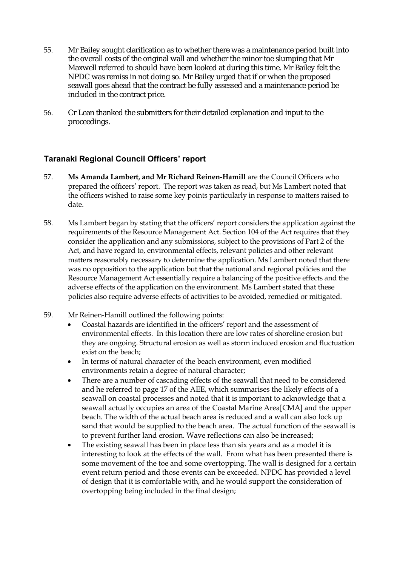- 55. Mr Bailey sought clarification as to whether there was a maintenance period built into the overall costs of the original wall and whether the minor toe slumping that Mr Maxwell referred to should have been looked at during this time. Mr Bailey felt the NPDC was remiss in not doing so. Mr Bailey urged that if or when the proposed seawall goes ahead that the contract be fully assessed and a maintenance period be included in the contract price.
- 56. Cr Lean thanked the submitters for their detailed explanation and input to the proceedings.

### **Taranaki Regional Council Officers' report**

- 57. **Ms Amanda Lambert, and Mr Richard Reinen-Hamill** are the Council Officers who prepared the officers' report. The report was taken as read, but Ms Lambert noted that the officers wished to raise some key points particularly in response to matters raised to date.
- 58. Ms Lambert began by stating that the officers' report considers the application against the requirements of the Resource Management Act. Section 104 of the Act requires that they consider the application and any submissions, subject to the provisions of Part 2 of the Act, and have regard to, environmental effects, relevant policies and other relevant matters reasonably necessary to determine the application. Ms Lambert noted that there was no opposition to the application but that the national and regional policies and the Resource Management Act essentially require a balancing of the positive effects and the adverse effects of the application on the environment. Ms Lambert stated that these policies also require adverse effects of activities to be avoided, remedied or mitigated.
- 59. Mr Reinen-Hamill outlined the following points:
	- Coastal hazards are identified in the officers' report and the assessment of environmental effects. In this location there are low rates of shoreline erosion but they are ongoing. Structural erosion as well as storm induced erosion and fluctuation exist on the beach;
	- In terms of natural character of the beach environment, even modified environments retain a degree of natural character;
	- There are a number of cascading effects of the seawall that need to be considered and he referred to page 17 of the AEE, which summarises the likely effects of a seawall on coastal processes and noted that it is important to acknowledge that a seawall actually occupies an area of the Coastal Marine Area[CMA] and the upper beach. The width of the actual beach area is reduced and a wall can also lock up sand that would be supplied to the beach area. The actual function of the seawall is to prevent further land erosion. Wave reflections can also be increased;
	- The existing seawall has been in place less than six years and as a model it is interesting to look at the effects of the wall. From what has been presented there is some movement of the toe and some overtopping. The wall is designed for a certain event return period and those events can be exceeded. NPDC has provided a level of design that it is comfortable with, and he would support the consideration of overtopping being included in the final design;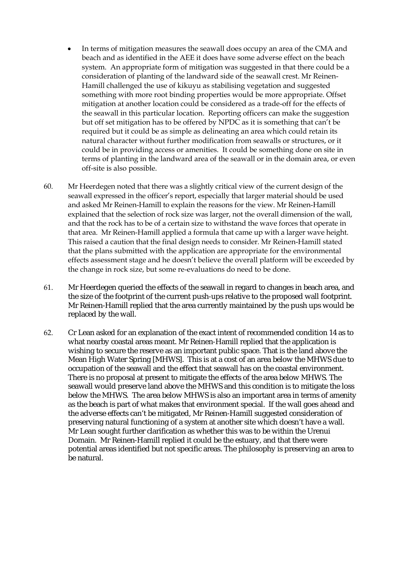- In terms of mitigation measures the seawall does occupy an area of the CMA and beach and as identified in the AEE it does have some adverse effect on the beach system. An appropriate form of mitigation was suggested in that there could be a consideration of planting of the landward side of the seawall crest. Mr Reinen-Hamill challenged the use of kikuyu as stabilising vegetation and suggested something with more root binding properties would be more appropriate. Offset mitigation at another location could be considered as a trade-off for the effects of the seawall in this particular location. Reporting officers can make the suggestion but off set mitigation has to be offered by NPDC as it is something that can't be required but it could be as simple as delineating an area which could retain its natural character without further modification from seawalls or structures, or it could be in providing access or amenities. It could be something done on site in terms of planting in the landward area of the seawall or in the domain area, or even off-site is also possible.
- 60. Mr Heerdegen noted that there was a slightly critical view of the current design of the seawall expressed in the officer's report, especially that larger material should be used and asked Mr Reinen-Hamill to explain the reasons for the view. Mr Reinen-Hamill explained that the selection of rock size was larger, not the overall dimension of the wall, and that the rock has to be of a certain size to withstand the wave forces that operate in that area. Mr Reinen-Hamill applied a formula that came up with a larger wave height. This raised a caution that the final design needs to consider. Mr Reinen-Hamill stated that the plans submitted with the application are appropriate for the environmental effects assessment stage and he doesn't believe the overall platform will be exceeded by the change in rock size, but some re-evaluations do need to be done.
- 61. Mr Heerdegen queried the effects of the seawall in regard to changes in beach area, and the size of the footprint of the current push-ups relative to the proposed wall footprint. Mr Reinen-Hamill replied that the area currently maintained by the push ups would be replaced by the wall.
- 62. Cr Lean asked for an explanation of the exact intent of recommended condition 14 as to what nearby coastal areas meant. Mr Reinen-Hamill replied that the application is wishing to secure the reserve as an important public space. That is the land above the Mean High Water Spring [MHWS]. This is at a cost of an area below the MHWS due to occupation of the seawall and the effect that seawall has on the coastal environment. There is no proposal at present to mitigate the effects of the area below MHWS. The seawall would preserve land above the MHWS and this condition is to mitigate the loss below the MHWS. The area below MHWS is also an important area in terms of amenity as the beach is part of what makes that environment special. If the wall goes ahead and the adverse effects can't be mitigated, Mr Reinen-Hamill suggested consideration of preserving natural functioning of a system at another site which doesn't have a wall. Mr Lean sought further clarification as whether this was to be within the Urenui Domain. Mr Reinen-Hamill replied it could be the estuary, and that there were potential areas identified but not specific areas. The philosophy is preserving an area to be natural.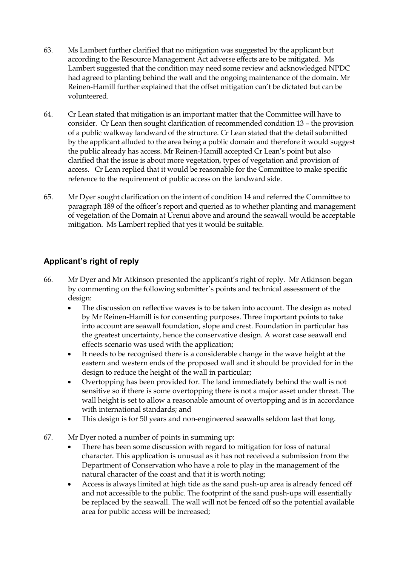- 63. Ms Lambert further clarified that no mitigation was suggested by the applicant but according to the Resource Management Act adverse effects are to be mitigated. Ms Lambert suggested that the condition may need some review and acknowledged NPDC had agreed to planting behind the wall and the ongoing maintenance of the domain. Mr Reinen-Hamill further explained that the offset mitigation can't be dictated but can be volunteered.
- 64. Cr Lean stated that mitigation is an important matter that the Committee will have to consider. Cr Lean then sought clarification of recommended condition 13 – the provision of a public walkway landward of the structure. Cr Lean stated that the detail submitted by the applicant alluded to the area being a public domain and therefore it would suggest the public already has access. Mr Reinen-Hamill accepted Cr Lean's point but also clarified that the issue is about more vegetation, types of vegetation and provision of access. Cr Lean replied that it would be reasonable for the Committee to make specific reference to the requirement of public access on the landward side.
- 65. Mr Dyer sought clarification on the intent of condition 14 and referred the Committee to paragraph 189 of the officer's report and queried as to whether planting and management of vegetation of the Domain at Urenui above and around the seawall would be acceptable mitigation. Ms Lambert replied that yes it would be suitable.

## **Applicant's right of reply**

- 66. Mr Dyer and Mr Atkinson presented the applicant's right of reply. Mr Atkinson began by commenting on the following submitter's points and technical assessment of the design:
	- The discussion on reflective waves is to be taken into account. The design as noted by Mr Reinen-Hamill is for consenting purposes. Three important points to take into account are seawall foundation, slope and crest. Foundation in particular has the greatest uncertainty, hence the conservative design. A worst case seawall end effects scenario was used with the application;
	- It needs to be recognised there is a considerable change in the wave height at the eastern and western ends of the proposed wall and it should be provided for in the design to reduce the height of the wall in particular;
	- Overtopping has been provided for. The land immediately behind the wall is not sensitive so if there is some overtopping there is not a major asset under threat. The wall height is set to allow a reasonable amount of overtopping and is in accordance with international standards; and
	- This design is for 50 years and non-engineered seawalls seldom last that long.
- 67. Mr Dyer noted a number of points in summing up:
	- There has been some discussion with regard to mitigation for loss of natural character. This application is unusual as it has not received a submission from the Department of Conservation who have a role to play in the management of the natural character of the coast and that it is worth noting;
	- Access is always limited at high tide as the sand push-up area is already fenced off and not accessible to the public. The footprint of the sand push-ups will essentially be replaced by the seawall. The wall will not be fenced off so the potential available area for public access will be increased;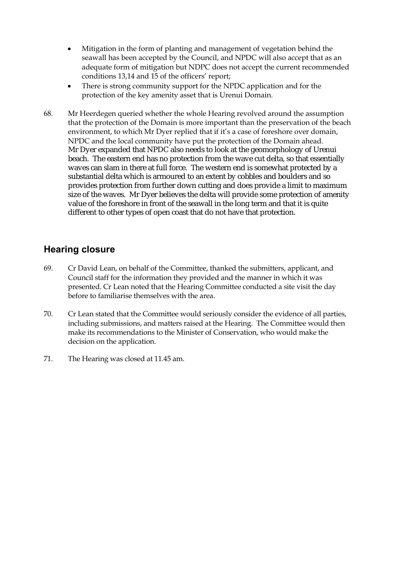- Mitigation in the form of planting and management of vegetation behind the seawall has been accepted by the Council, and NPDC will also accept that as an adequate form of mitigation but NDPC does not accept the current recommended conditions 13,14 and 15 of the officers' report;
- There is strong community support for the NPDC application and for the protection of the key amenity asset that is Urenui Domain.
- 68. Mr Heerdegen queried whether the whole Hearing revolved around the assumption that the protection of the Domain is more important than the preservation of the beach environment, to which Mr Dyer replied that if it's a case of foreshore over domain, NPDC and the local community have put the protection of the Domain ahead. Mr Dyer expanded that NPDC also needs to look at the geomorphology of Urenui beach. The eastern end has no protection from the wave cut delta, so that essentially waves can slam in there at full force. The western end is somewhat protected by a substantial delta which is armoured to an extent by cobbles and boulders and so provides protection from further down cutting and does provide a limit to maximum size of the waves. Mr Dyer believes the delta will provide some protection of amenity value of the foreshore in front of the seawall in the long term and that it is quite different to other types of open coast that do not have that protection.

## **Hearing closure**

- 69. Cr David Lean, on behalf of the Committee, thanked the submitters, applicant, and Council staff for the information they provided and the manner in which it was presented. Cr Lean noted that the Hearing Committee conducted a site visit the day before to familiarise themselves with the area.
- 70. Cr Lean stated that the Committee would seriously consider the evidence of all parties, including submissions, and matters raised at the Hearing. The Committee would then make its recommendations to the Minister of Conservation, who would make the decision on the application.
- 71. The Hearing was closed at 11.45 am.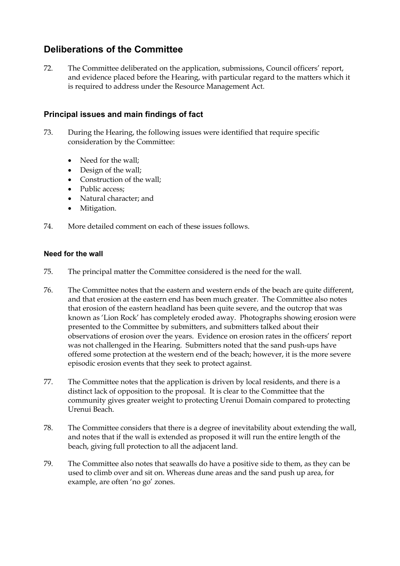## **Deliberations of the Committee**

72. The Committee deliberated on the application, submissions, Council officers' report, and evidence placed before the Hearing, with particular regard to the matters which it is required to address under the Resource Management Act.

### **Principal issues and main findings of fact**

- 73. During the Hearing, the following issues were identified that require specific consideration by the Committee:
	- Need for the wall;
	- Design of the wall;
	- Construction of the wall;
	- Public access:
	- Natural character; and
	- Mitigation.
- 74. More detailed comment on each of these issues follows.

### **Need for the wall**

- 75. The principal matter the Committee considered is the need for the wall.
- 76. The Committee notes that the eastern and western ends of the beach are quite different, and that erosion at the eastern end has been much greater. The Committee also notes that erosion of the eastern headland has been quite severe, and the outcrop that was known as 'Lion Rock' has completely eroded away. Photographs showing erosion were presented to the Committee by submitters, and submitters talked about their observations of erosion over the years. Evidence on erosion rates in the officers' report was not challenged in the Hearing. Submitters noted that the sand push-ups have offered some protection at the western end of the beach; however, it is the more severe episodic erosion events that they seek to protect against.
- 77. The Committee notes that the application is driven by local residents, and there is a distinct lack of opposition to the proposal. It is clear to the Committee that the community gives greater weight to protecting Urenui Domain compared to protecting Urenui Beach.
- 78. The Committee considers that there is a degree of inevitability about extending the wall, and notes that if the wall is extended as proposed it will run the entire length of the beach, giving full protection to all the adjacent land.
- 79. The Committee also notes that seawalls do have a positive side to them, as they can be used to climb over and sit on. Whereas dune areas and the sand push up area, for example, are often 'no go' zones.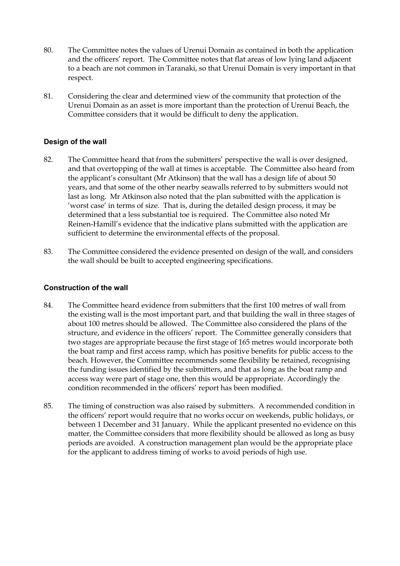- 80. The Committee notes the values of Urenui Domain as contained in both the application and the officers' report. The Committee notes that flat areas of low lying land adjacent to a beach are not common in Taranaki, so that Urenui Domain is very important in that respect.
- 81. Considering the clear and determined view of the community that protection of the Urenui Domain as an asset is more important than the protection of Urenui Beach, the Committee considers that it would be difficult to deny the application.

### **Design of the wall**

- 82. The Committee heard that from the submitters' perspective the wall is over designed, and that overtopping of the wall at times is acceptable. The Committee also heard from the applicant's consultant (Mr Atkinson) that the wall has a design life of about 50 years, and that some of the other nearby seawalls referred to by submitters would not last as long. Mr Atkinson also noted that the plan submitted with the application is 'worst case' in terms of size. That is, during the detailed design process, it may be determined that a less substantial toe is required. The Committee also noted Mr Reinen-Hamill's evidence that the indicative plans submitted with the application are sufficient to determine the environmental effects of the proposal.
- 83. The Committee considered the evidence presented on design of the wall, and considers the wall should be built to accepted engineering specifications.

### **Construction of the wall**

- 84. The Committee heard evidence from submitters that the first 100 metres of wall from the existing wall is the most important part, and that building the wall in three stages of about 100 metres should be allowed. The Committee also considered the plans of the structure, and evidence in the officers' report. The Committee generally considers that two stages are appropriate because the first stage of 165 metres would incorporate both the boat ramp and first access ramp, which has positive benefits for public access to the beach. However, the Committee recommends some flexibility be retained, recognising the funding issues identified by the submitters, and that as long as the boat ramp and access way were part of stage one, then this would be appropriate. Accordingly the condition recommended in the officers' report has been modified.
- 85. The timing of construction was also raised by submitters. A recommended condition in the officers' report would require that no works occur on weekends, public holidays, or between 1 December and 31 January. While the applicant presented no evidence on this matter, the Committee considers that more flexibility should be allowed as long as busy periods are avoided. A construction management plan would be the appropriate place for the applicant to address timing of works to avoid periods of high use.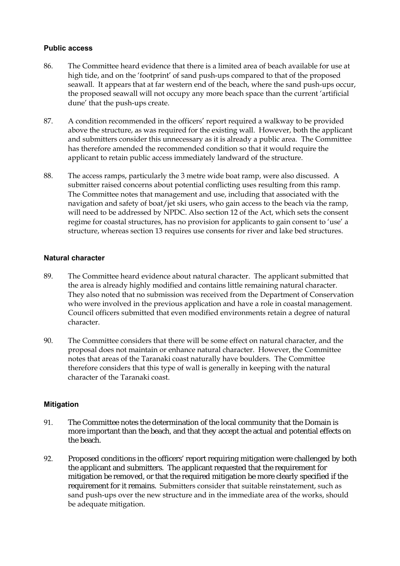### **Public access**

- 86. The Committee heard evidence that there is a limited area of beach available for use at high tide, and on the 'footprint' of sand push-ups compared to that of the proposed seawall. It appears that at far western end of the beach, where the sand push-ups occur, the proposed seawall will not occupy any more beach space than the current 'artificial dune' that the push-ups create.
- 87. A condition recommended in the officers' report required a walkway to be provided above the structure, as was required for the existing wall. However, both the applicant and submitters consider this unnecessary as it is already a public area. The Committee has therefore amended the recommended condition so that it would require the applicant to retain public access immediately landward of the structure.
- 88. The access ramps, particularly the 3 metre wide boat ramp, were also discussed. A submitter raised concerns about potential conflicting uses resulting from this ramp. The Committee notes that management and use, including that associated with the navigation and safety of boat/jet ski users, who gain access to the beach via the ramp, will need to be addressed by NPDC. Also section 12 of the Act, which sets the consent regime for coastal structures, has no provision for applicants to gain consent to 'use' a structure, whereas section 13 requires use consents for river and lake bed structures.

### **Natural character**

- 89. The Committee heard evidence about natural character. The applicant submitted that the area is already highly modified and contains little remaining natural character. They also noted that no submission was received from the Department of Conservation who were involved in the previous application and have a role in coastal management. Council officers submitted that even modified environments retain a degree of natural character.
- 90. The Committee considers that there will be some effect on natural character, and the proposal does not maintain or enhance natural character. However, the Committee notes that areas of the Taranaki coast naturally have boulders. The Committee therefore considers that this type of wall is generally in keeping with the natural character of the Taranaki coast.

### **Mitigation**

- 91. The Committee notes the determination of the local community that the Domain is more important than the beach, and that they accept the actual and potential effects on the beach.
- 92. Proposed conditions in the officers' report requiring mitigation were challenged by both the applicant and submitters. The applicant requested that the requirement for mitigation be removed, or that the required mitigation be more clearly specified if the requirement for it remains. Submitters consider that suitable reinstatement, such as sand push-ups over the new structure and in the immediate area of the works, should be adequate mitigation.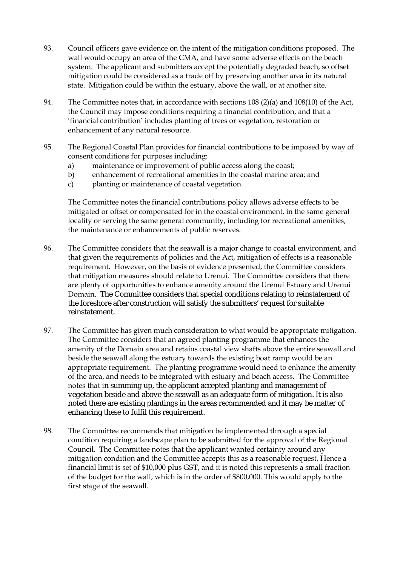- 93. Council officers gave evidence on the intent of the mitigation conditions proposed. The wall would occupy an area of the CMA, and have some adverse effects on the beach system. The applicant and submitters accept the potentially degraded beach, so offset mitigation could be considered as a trade off by preserving another area in its natural state. Mitigation could be within the estuary, above the wall, or at another site.
- 94. The Committee notes that, in accordance with sections 108 (2)(a) and 108(10) of the Act, the Council may impose conditions requiring a financial contribution, and that a 'financial contribution' includes planting of trees or vegetation, restoration or enhancement of any natural resource.
- 95. The Regional Coastal Plan provides for financial contributions to be imposed by way of consent conditions for purposes including:
	- a) maintenance or improvement of public access along the coast;
	- b) enhancement of recreational amenities in the coastal marine area; and
	- c) planting or maintenance of coastal vegetation.

The Committee notes the financial contributions policy allows adverse effects to be mitigated or offset or compensated for in the coastal environment, in the same general locality or serving the same general community, including for recreational amenities, the maintenance or enhancements of public reserves.

- 96. The Committee considers that the seawall is a major change to coastal environment, and that given the requirements of policies and the Act, mitigation of effects is a reasonable requirement. However, on the basis of evidence presented, the Committee considers that mitigation measures should relate to Urenui. The Committee considers that there are plenty of opportunities to enhance amenity around the Urenui Estuary and Urenui Domain. The Committee considers that special conditions relating to reinstatement of the foreshore after construction will satisfy the submitters' request for suitable reinstatement.
- 97. The Committee has given much consideration to what would be appropriate mitigation. The Committee considers that an agreed planting programme that enhances the amenity of the Domain area and retains coastal view shafts above the entire seawall and beside the seawall along the estuary towards the existing boat ramp would be an appropriate requirement. The planting programme would need to enhance the amenity of the area, and needs to be integrated with estuary and beach access. The Committee notes that in summing up, the applicant accepted planting and management of vegetation beside and above the seawall as an adequate form of mitigation. It is also noted there are existing plantings in the areas recommended and it may be matter of enhancing these to fulfil this requirement.
- 98. The Committee recommends that mitigation be implemented through a special condition requiring a landscape plan to be submitted for the approval of the Regional Council. The Committee notes that the applicant wanted certainty around any mitigation condition and the Committee accepts this as a reasonable request. Hence a financial limit is set of \$10,000 plus GST, and it is noted this represents a small fraction of the budget for the wall, which is in the order of \$800,000. This would apply to the first stage of the seawall.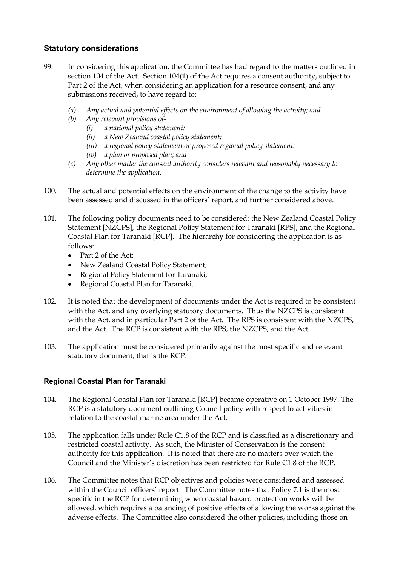### **Statutory considerations**

- 99. In considering this application, the Committee has had regard to the matters outlined in section 104 of the Act. Section 104(1) of the Act requires a consent authority, subject to Part 2 of the Act, when considering an application for a resource consent, and any submissions received, to have regard to:
	- *(a) Any actual and potential effects on the environment of allowing the activity; and*
	- *(b) Any relevant provisions of-* 
		- *(i) a national policy statement:*
		- *(ii) a New Zealand coastal policy statement:*
		- *(iii) a regional policy statement or proposed regional policy statement:*
		- *(iv) a plan or proposed plan; and*
	- *(c) Any other matter the consent authority considers relevant and reasonably necessary to determine the application.*
- 100. The actual and potential effects on the environment of the change to the activity have been assessed and discussed in the officers' report, and further considered above.
- 101. The following policy documents need to be considered: the New Zealand Coastal Policy Statement [NZCPS], the Regional Policy Statement for Taranaki [RPS], and the Regional Coastal Plan for Taranaki [RCP]. The hierarchy for considering the application is as follows:
	- Part 2 of the Act:
	- New Zealand Coastal Policy Statement;
	- Regional Policy Statement for Taranaki;
	- Regional Coastal Plan for Taranaki.
- 102. It is noted that the development of documents under the Act is required to be consistent with the Act, and any overlying statutory documents. Thus the NZCPS is consistent with the Act, and in particular Part 2 of the Act. The RPS is consistent with the NZCPS, and the Act. The RCP is consistent with the RPS, the NZCPS, and the Act.
- 103. The application must be considered primarily against the most specific and relevant statutory document, that is the RCP.

### **Regional Coastal Plan for Taranaki**

- 104. The Regional Coastal Plan for Taranaki [RCP] became operative on 1 October 1997. The RCP is a statutory document outlining Council policy with respect to activities in relation to the coastal marine area under the Act.
- 105. The application falls under Rule C1.8 of the RCP and is classified as a discretionary and restricted coastal activity. As such, the Minister of Conservation is the consent authority for this application. It is noted that there are no matters over which the Council and the Minister's discretion has been restricted for Rule C1.8 of the RCP.
- 106. The Committee notes that RCP objectives and policies were considered and assessed within the Council officers' report. The Committee notes that Policy 7.1 is the most specific in the RCP for determining when coastal hazard protection works will be allowed, which requires a balancing of positive effects of allowing the works against the adverse effects. The Committee also considered the other policies, including those on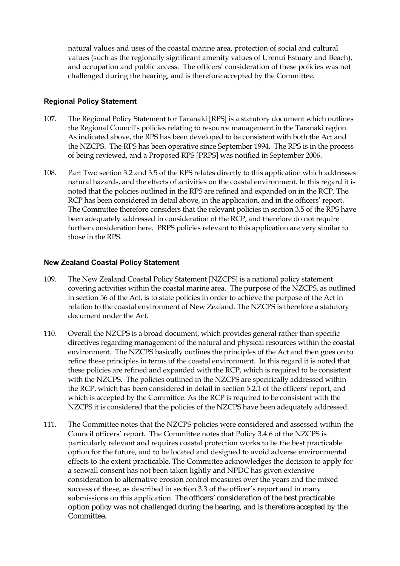natural values and uses of the coastal marine area, protection of social and cultural values (such as the regionally significant amenity values of Urenui Estuary and Beach), and occupation and public access. The officers' consideration of these policies was not challenged during the hearing, and is therefore accepted by the Committee.

### **Regional Policy Statement**

- 107. The Regional Policy Statement for Taranaki [RPS] is a statutory document which outlines the Regional Council's policies relating to resource management in the Taranaki region. As indicated above, the RPS has been developed to be consistent with both the Act and the NZCPS. The RPS has been operative since September 1994. The RPS is in the process of being reviewed, and a Proposed RPS [PRPS] was notified in September 2006.
- 108. Part Two section 3.2 and 3.5 of the RPS relates directly to this application which addresses natural hazards, and the effects of activities on the coastal environment. In this regard it is noted that the policies outlined in the RPS are refined and expanded on in the RCP. The RCP has been considered in detail above, in the application, and in the officers' report. The Committee therefore considers that the relevant policies in section 3.5 of the RPS have been adequately addressed in consideration of the RCP, and therefore do not require further consideration here. PRPS policies relevant to this application are very similar to those in the RPS.

### **New Zealand Coastal Policy Statement**

- 109. The New Zealand Coastal Policy Statement [NZCPS] is a national policy statement covering activities within the coastal marine area. The purpose of the NZCPS, as outlined in section 56 of the Act, is to state policies in order to achieve the purpose of the Act in relation to the coastal environment of New Zealand. The NZCPS is therefore a statutory document under the Act.
- 110. Overall the NZCPS is a broad document, which provides general rather than specific directives regarding management of the natural and physical resources within the coastal environment. The NZCPS basically outlines the principles of the Act and then goes on to refine these principles in terms of the coastal environment. In this regard it is noted that these policies are refined and expanded with the RCP, which is required to be consistent with the NZCPS. The policies outlined in the NZCPS are specifically addressed within the RCP, which has been considered in detail in section 5.2.1 of the officers' report, and which is accepted by the Committee. As the RCP is required to be consistent with the NZCPS it is considered that the policies of the NZCPS have been adequately addressed.
- 111. The Committee notes that the NZCPS policies were considered and assessed within the Council officers' report. The Committee notes that Policy 3.4.6 of the NZCPS is particularly relevant and requires coastal protection works to be the best practicable option for the future, and to be located and designed to avoid adverse environmental effects to the extent practicable. The Committee acknowledges the decision to apply for a seawall consent has not been taken lightly and NPDC has given extensive consideration to alternative erosion control measures over the years and the mixed success of these, as described in section 3.3 of the officer's report and in many submissions on this application. The officers' consideration of the best practicable option policy was not challenged during the hearing, and is therefore accepted by the Committee.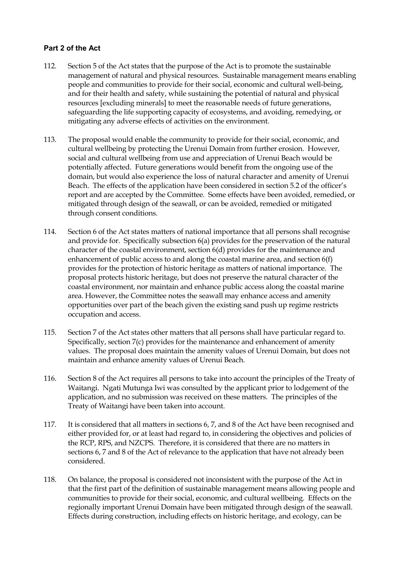### **Part 2 of the Act**

- 112. Section 5 of the Act states that the purpose of the Act is to promote the sustainable management of natural and physical resources. Sustainable management means enabling people and communities to provide for their social, economic and cultural well-being, and for their health and safety, while sustaining the potential of natural and physical resources [excluding minerals] to meet the reasonable needs of future generations, safeguarding the life supporting capacity of ecosystems, and avoiding, remedying, or mitigating any adverse effects of activities on the environment.
- 113. The proposal would enable the community to provide for their social, economic, and cultural wellbeing by protecting the Urenui Domain from further erosion. However, social and cultural wellbeing from use and appreciation of Urenui Beach would be potentially affected. Future generations would benefit from the ongoing use of the domain, but would also experience the loss of natural character and amenity of Urenui Beach. The effects of the application have been considered in section 5.2 of the officer's report and are accepted by the Committee. Some effects have been avoided, remedied, or mitigated through design of the seawall, or can be avoided, remedied or mitigated through consent conditions.
- 114. Section 6 of the Act states matters of national importance that all persons shall recognise and provide for. Specifically subsection 6(a) provides for the preservation of the natural character of the coastal environment, section 6(d) provides for the maintenance and enhancement of public access to and along the coastal marine area, and section 6(f) provides for the protection of historic heritage as matters of national importance. The proposal protects historic heritage, but does not preserve the natural character of the coastal environment, nor maintain and enhance public access along the coastal marine area. However, the Committee notes the seawall may enhance access and amenity opportunities over part of the beach given the existing sand push up regime restricts occupation and access.
- 115. Section 7 of the Act states other matters that all persons shall have particular regard to. Specifically, section 7(c) provides for the maintenance and enhancement of amenity values. The proposal does maintain the amenity values of Urenui Domain, but does not maintain and enhance amenity values of Urenui Beach.
- 116. Section 8 of the Act requires all persons to take into account the principles of the Treaty of Waitangi. Ngati Mutunga Iwi was consulted by the applicant prior to lodgement of the application, and no submission was received on these matters. The principles of the Treaty of Waitangi have been taken into account.
- 117. It is considered that all matters in sections 6, 7, and 8 of the Act have been recognised and either provided for, or at least had regard to, in considering the objectives and policies of the RCP, RPS, and NZCPS. Therefore, it is considered that there are no matters in sections 6, 7 and 8 of the Act of relevance to the application that have not already been considered.
- 118. On balance, the proposal is considered not inconsistent with the purpose of the Act in that the first part of the definition of sustainable management means allowing people and communities to provide for their social, economic, and cultural wellbeing. Effects on the regionally important Urenui Domain have been mitigated through design of the seawall. Effects during construction, including effects on historic heritage, and ecology, can be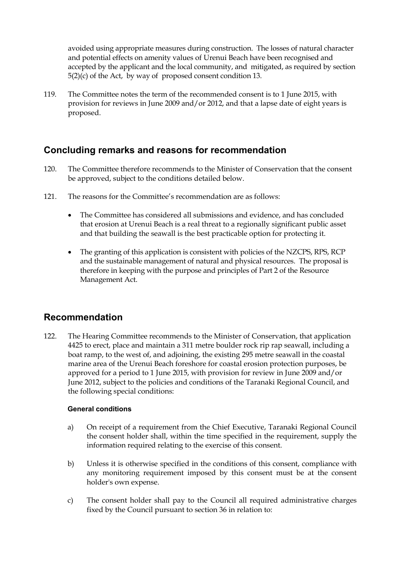avoided using appropriate measures during construction. The losses of natural character and potential effects on amenity values of Urenui Beach have been recognised and accepted by the applicant and the local community, and mitigated, as required by section 5(2)(c) of the Act, by way of proposed consent condition 13.

119. The Committee notes the term of the recommended consent is to 1 June 2015, with provision for reviews in June 2009 and/or 2012, and that a lapse date of eight years is proposed.

## **Concluding remarks and reasons for recommendation**

- 120. The Committee therefore recommends to the Minister of Conservation that the consent be approved, subject to the conditions detailed below.
- 121. The reasons for the Committee's recommendation are as follows:
	- The Committee has considered all submissions and evidence, and has concluded that erosion at Urenui Beach is a real threat to a regionally significant public asset and that building the seawall is the best practicable option for protecting it.
	- The granting of this application is consistent with policies of the NZCPS, RPS, RCP and the sustainable management of natural and physical resources. The proposal is therefore in keeping with the purpose and principles of Part 2 of the Resource Management Act.

## **Recommendation**

122. The Hearing Committee recommends to the Minister of Conservation, that application 4425 to erect, place and maintain a 311 metre boulder rock rip rap seawall, including a boat ramp, to the west of, and adjoining, the existing 295 metre seawall in the coastal marine area of the Urenui Beach foreshore for coastal erosion protection purposes, be approved for a period to 1 June 2015, with provision for review in June 2009 and/or June 2012, subject to the policies and conditions of the Taranaki Regional Council, and the following special conditions:

### **General conditions**

- a) On receipt of a requirement from the Chief Executive, Taranaki Regional Council the consent holder shall, within the time specified in the requirement, supply the information required relating to the exercise of this consent.
- b) Unless it is otherwise specified in the conditions of this consent, compliance with any monitoring requirement imposed by this consent must be at the consent holder's own expense.
- c) The consent holder shall pay to the Council all required administrative charges fixed by the Council pursuant to section 36 in relation to: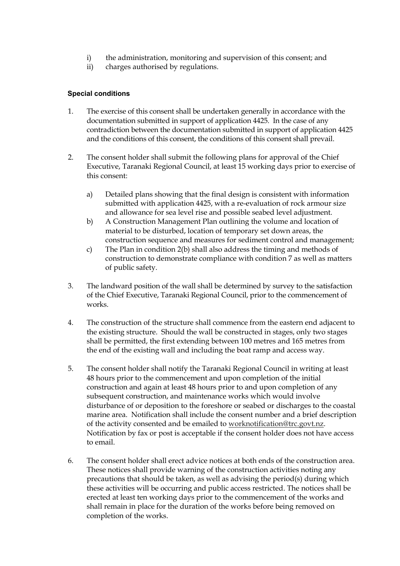- i) the administration, monitoring and supervision of this consent; and
- ii) charges authorised by regulations.

### **Special conditions**

- 1. The exercise of this consent shall be undertaken generally in accordance with the documentation submitted in support of application 4425. In the case of any contradiction between the documentation submitted in support of application 4425 and the conditions of this consent, the conditions of this consent shall prevail.
- 2. The consent holder shall submit the following plans for approval of the Chief Executive, Taranaki Regional Council, at least 15 working days prior to exercise of this consent:
	- a) Detailed plans showing that the final design is consistent with information submitted with application 4425, with a re-evaluation of rock armour size and allowance for sea level rise and possible seabed level adjustment.
	- b) A Construction Management Plan outlining the volume and location of material to be disturbed, location of temporary set down areas, the construction sequence and measures for sediment control and management;
	- c) The Plan in condition 2(b) shall also address the timing and methods of construction to demonstrate compliance with condition 7 as well as matters of public safety.
- 3. The landward position of the wall shall be determined by survey to the satisfaction of the Chief Executive, Taranaki Regional Council, prior to the commencement of works.
- 4. The construction of the structure shall commence from the eastern end adjacent to the existing structure. Should the wall be constructed in stages, only two stages shall be permitted, the first extending between 100 metres and 165 metres from the end of the existing wall and including the boat ramp and access way.
- 5. The consent holder shall notify the Taranaki Regional Council in writing at least 48 hours prior to the commencement and upon completion of the initial construction and again at least 48 hours prior to and upon completion of any subsequent construction, and maintenance works which would involve disturbance of or deposition to the foreshore or seabed or discharges to the coastal marine area. Notification shall include the consent number and a brief description of the activity consented and be emailed to worknotification@trc.govt.nz. Notification by fax or post is acceptable if the consent holder does not have access to email.
- 6. The consent holder shall erect advice notices at both ends of the construction area. These notices shall provide warning of the construction activities noting any precautions that should be taken, as well as advising the period(s) during which these activities will be occurring and public access restricted. The notices shall be erected at least ten working days prior to the commencement of the works and shall remain in place for the duration of the works before being removed on completion of the works.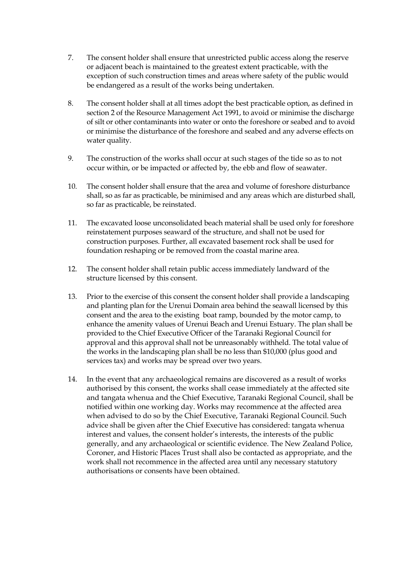- 7. The consent holder shall ensure that unrestricted public access along the reserve or adjacent beach is maintained to the greatest extent practicable, with the exception of such construction times and areas where safety of the public would be endangered as a result of the works being undertaken.
- 8. The consent holder shall at all times adopt the best practicable option, as defined in section 2 of the Resource Management Act 1991, to avoid or minimise the discharge of silt or other contaminants into water or onto the foreshore or seabed and to avoid or minimise the disturbance of the foreshore and seabed and any adverse effects on water quality.
- 9. The construction of the works shall occur at such stages of the tide so as to not occur within, or be impacted or affected by, the ebb and flow of seawater.
- 10. The consent holder shall ensure that the area and volume of foreshore disturbance shall, so as far as practicable, be minimised and any areas which are disturbed shall, so far as practicable, be reinstated.
- 11. The excavated loose unconsolidated beach material shall be used only for foreshore reinstatement purposes seaward of the structure, and shall not be used for construction purposes. Further, all excavated basement rock shall be used for foundation reshaping or be removed from the coastal marine area.
- 12. The consent holder shall retain public access immediately landward of the structure licensed by this consent.
- 13. Prior to the exercise of this consent the consent holder shall provide a landscaping and planting plan for the Urenui Domain area behind the seawall licensed by this consent and the area to the existing boat ramp, bounded by the motor camp, to enhance the amenity values of Urenui Beach and Urenui Estuary. The plan shall be provided to the Chief Executive Officer of the Taranaki Regional Council for approval and this approval shall not be unreasonably withheld. The total value of the works in the landscaping plan shall be no less than \$10,000 (plus good and services tax) and works may be spread over two years.
- 14. In the event that any archaeological remains are discovered as a result of works authorised by this consent, the works shall cease immediately at the affected site and tangata whenua and the Chief Executive, Taranaki Regional Council, shall be notified within one working day. Works may recommence at the affected area when advised to do so by the Chief Executive, Taranaki Regional Council. Such advice shall be given after the Chief Executive has considered: tangata whenua interest and values, the consent holder's interests, the interests of the public generally, and any archaeological or scientific evidence. The New Zealand Police, Coroner, and Historic Places Trust shall also be contacted as appropriate, and the work shall not recommence in the affected area until any necessary statutory authorisations or consents have been obtained.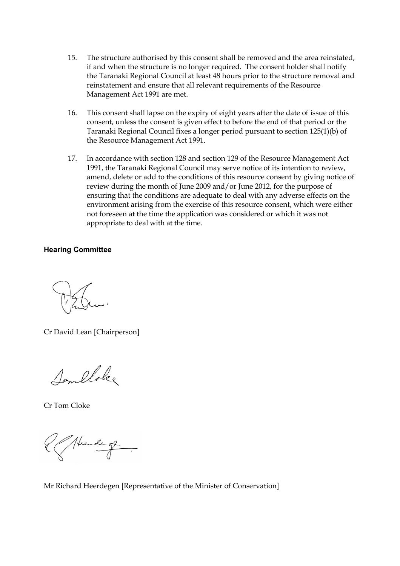- 15. The structure authorised by this consent shall be removed and the area reinstated, if and when the structure is no longer required. The consent holder shall notify the Taranaki Regional Council at least 48 hours prior to the structure removal and reinstatement and ensure that all relevant requirements of the Resource Management Act 1991 are met.
- 16. This consent shall lapse on the expiry of eight years after the date of issue of this consent, unless the consent is given effect to before the end of that period or the Taranaki Regional Council fixes a longer period pursuant to section 125(1)(b) of the Resource Management Act 1991.
- 17. In accordance with section 128 and section 129 of the Resource Management Act 1991, the Taranaki Regional Council may serve notice of its intention to review, amend, delete or add to the conditions of this resource consent by giving notice of review during the month of June 2009 and/or June 2012, for the purpose of ensuring that the conditions are adequate to deal with any adverse effects on the environment arising from the exercise of this resource consent, which were either not foreseen at the time the application was considered or which it was not appropriate to deal with at the time.

#### **Hearing Committee**

Cr David Lean [Chairperson]

Someloke

Cr Tom Cloke

Neede

Mr Richard Heerdegen [Representative of the Minister of Conservation]